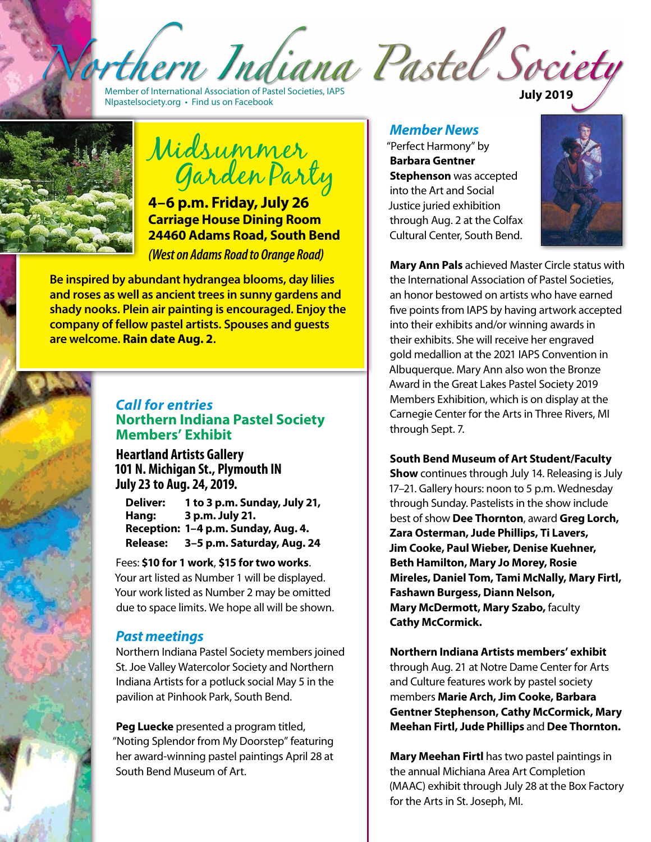hern Indiana Pastel Society

Member of International Association of Pastel Societies, IAPS <NIpastelsociety.org> • Find us on Facebook **July 2019**

Midsummer Garden Party

**4–6 p.m. Friday, July 26 Carriage House Dining Room 24460 Adams Road, South Bend**  *(West on Adams Road to Orange Road)*

**Be inspired by abundant hydrangea blooms, day lilies and roses as well as ancient trees in sunny gardens and shady nooks. Plein air painting is encouraged. Enjoy the company of fellow pastel artists. Spouses and guests are welcome. Rain date Aug. 2.**



### *Call for entries* **Northern Indiana Pastel Society Members' Exhibit**

**Heartland Artists Gallery 101 N. Michigan St., Plymouth IN July 23 to Aug. 24, 2019.**

**Deliver: 1 to 3 p.m. Sunday, July 21, Hang: 3 p.m. July 21. Reception: 1–4 p.m. Sunday, Aug. 4. Release: 3–5 p.m. Saturday, Aug. 24**

Fees: **\$10 for 1 work**, **\$15 for two works**. Your art listed as Number 1 will be displayed. Your work listed as Number 2 may be omitted due to space limits. We hope all will be shown.

# *Past meetings*

Northern Indiana Pastel Society members joined St. Joe Valley Watercolor Society and Northern Indiana Artists for a potluck social May 5 in the pavilion at Pinhook Park, South Bend.

**Peg Luecke** presented a program titled, "Noting Splendor from My Doorstep" featuring her award-winning pastel paintings April 28 at South Bend Museum of Art.

### *Member News*

"Perfect Harmony" by **Barbara Gentner Stephenson** was accepted into the Art and Social Justice juried exhibition through Aug. 2 at the Colfax Cultural Center, South Bend.



**Mary Ann Pals** achieved Master Circle status with the International Association of Pastel Societies, an honor bestowed on artists who have earned five points from IAPS by having artwork accepted into their exhibits and/or winning awards in their exhibits. She will receive her engraved gold medallion at the 2021 IAPS Convention in Albuquerque. Mary Ann also won the Bronze Award in the Great Lakes Pastel Society 2019 Members Exhibition, which is on display at the Carnegie Center for the Arts in Three Rivers, MI through Sept. 7.

### **South Bend Museum of Art Student/Faculty**

**Show** continues through July 14. Releasing is July 17–21. Gallery hours: noon to 5 p.m. Wednesday through Sunday. Pastelists in the show include best of show **Dee Thornton**, award **Greg Lorch, Zara Osterman, Jude Phillips, Ti Lavers, Jim Cooke, Paul Wieber, Denise Kuehner, Beth Hamilton, Mary Jo Morey, Rosie Mireles, Daniel Tom, Tami McNally, Mary Firtl, Fashawn Burgess, Diann Nelson, Mary McDermott, Mary Szabo,** faculty **Cathy McCormick.**

**Northern Indiana Artists members' exhibit**  through Aug. 21 at Notre Dame Center for Arts and Culture features work by pastel society members **Marie Arch, Jim Cooke, Barbara Gentner Stephenson, Cathy McCormick, Mary Meehan Firtl, Jude Phillips** and **Dee Thornton.** 

**Mary Meehan Firtl** has two pastel paintings in the annual Michiana Area Art Completion (MAAC) exhibit through July 28 at the Box Factory for the Arts in St. Joseph, MI.